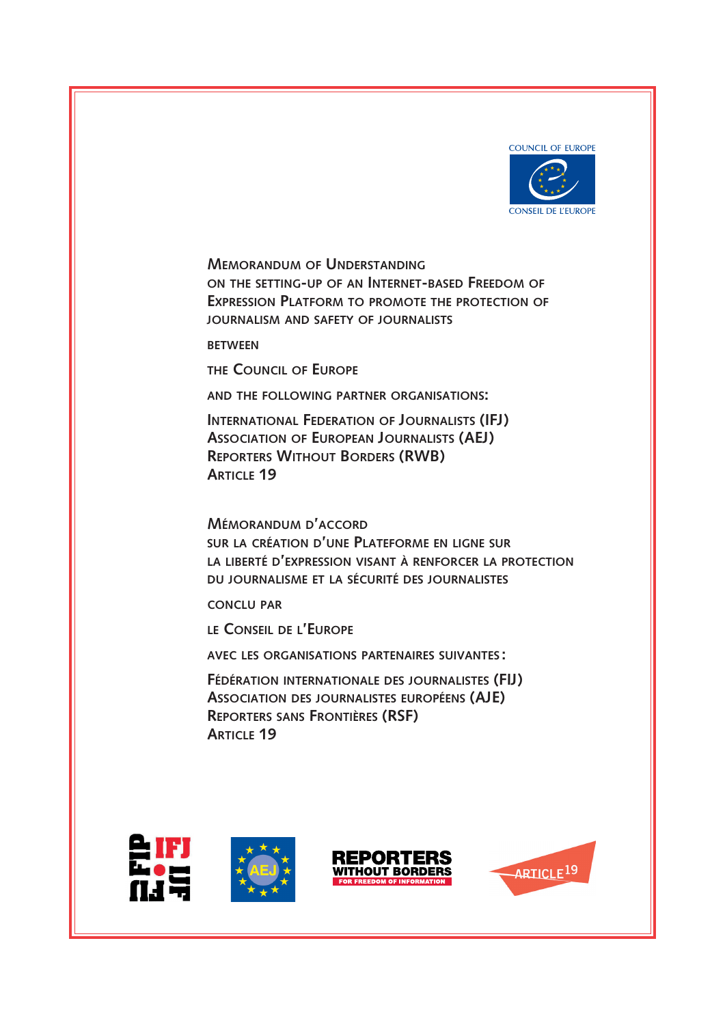

**Memorandum of Understanding on the setting-up of an Internet-based Freedom of Expression Platform to promote the protection of journalism and safety of journalists**

**between**

**the Council of Europe**

**and the following partner organisations:** 

**International Federation of Journalists (IFJ) Association of European Journalists (AEJ) Reporters Without Borders (RWB) Article 19**

**Mémorandum d'accord sur la création d'une Plateforme en ligne sur la liberté d'expression visant à renforcer la protection du journalisme et la sécurité des journalistes**

**conclu par**

**le Conseil de l'Europe**

**avec les organisations partenaires suivantes :**

**Fédération internationale des journalistes (FIJ) Association des journalistes européens (AJE) Reporters sans Frontières (RSF) Article 19**







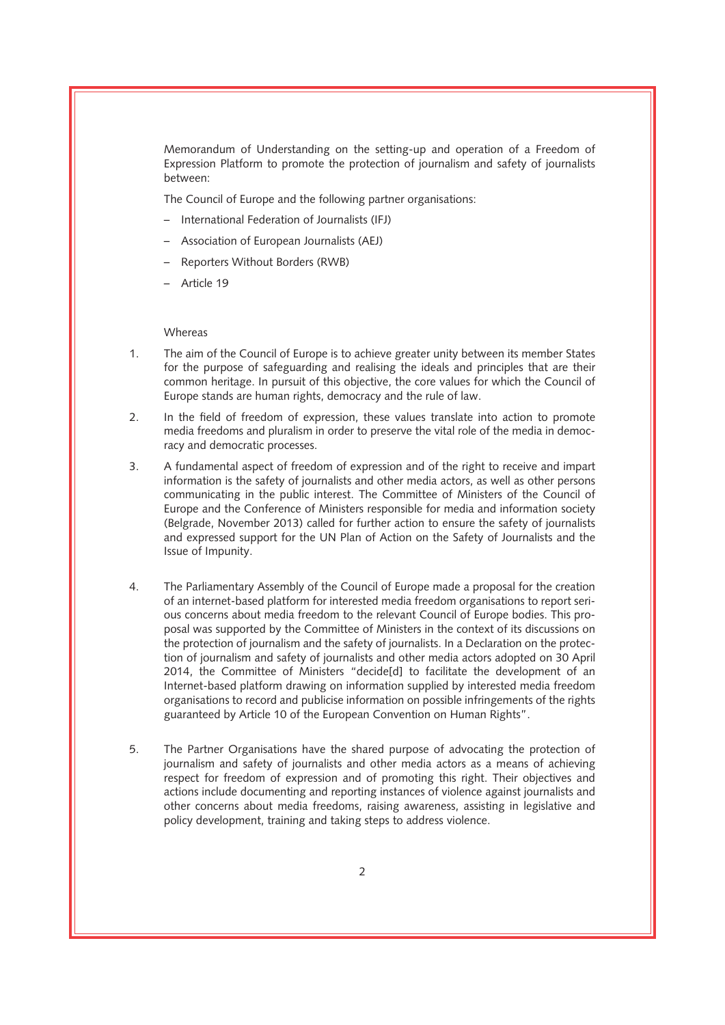Memorandum of Understanding on the setting-up and operation of a Freedom of Expression Platform to promote the protection of journalism and safety of journalists between:

The Council of Europe and the following partner organisations:

- International Federation of Journalists (IFJ)
- Association of European Journalists (AEJ)
- Reporters Without Borders (RWB)
- Article 19

# Whereas

- 1. The aim of the Council of Europe is to achieve greater unity between its member States for the purpose of safeguarding and realising the ideals and principles that are their common heritage. In pursuit of this objective, the core values for which the Council of Europe stands are human rights, democracy and the rule of law.
- 2. In the field of freedom of expression, these values translate into action to promote media freedoms and pluralism in order to preserve the vital role of the media in democracy and democratic processes.
- 3. A fundamental aspect of freedom of expression and of the right to receive and impart information is the safety of journalists and other media actors, as well as other persons communicating in the public interest. The Committee of Ministers of the Council of Europe and the Conference of Ministers responsible for media and information society (Belgrade, November 2013) called for further action to ensure the safety of journalists and expressed support for the UN Plan of Action on the Safety of Journalists and the Issue of Impunity.
- 4. The Parliamentary Assembly of the Council of Europe made a proposal for the creation of an internet-based platform for interested media freedom organisations to report serious concerns about media freedom to the relevant Council of Europe bodies. This proposal was supported by the Committee of Ministers in the context of its discussions on the protection of journalism and the safety of journalists. In a Declaration on the protection of journalism and safety of journalists and other media actors adopted on 30 April 2014, the Committee of Ministers "decide[d] to facilitate the development of an Internet-based platform drawing on information supplied by interested media freedom organisations to record and publicise information on possible infringements of the rights guaranteed by Article 10 of the European Convention on Human Rights".
- 5. The Partner Organisations have the shared purpose of advocating the protection of journalism and safety of journalists and other media actors as a means of achieving respect for freedom of expression and of promoting this right. Their objectives and actions include documenting and reporting instances of violence against journalists and other concerns about media freedoms, raising awareness, assisting in legislative and policy development, training and taking steps to address violence.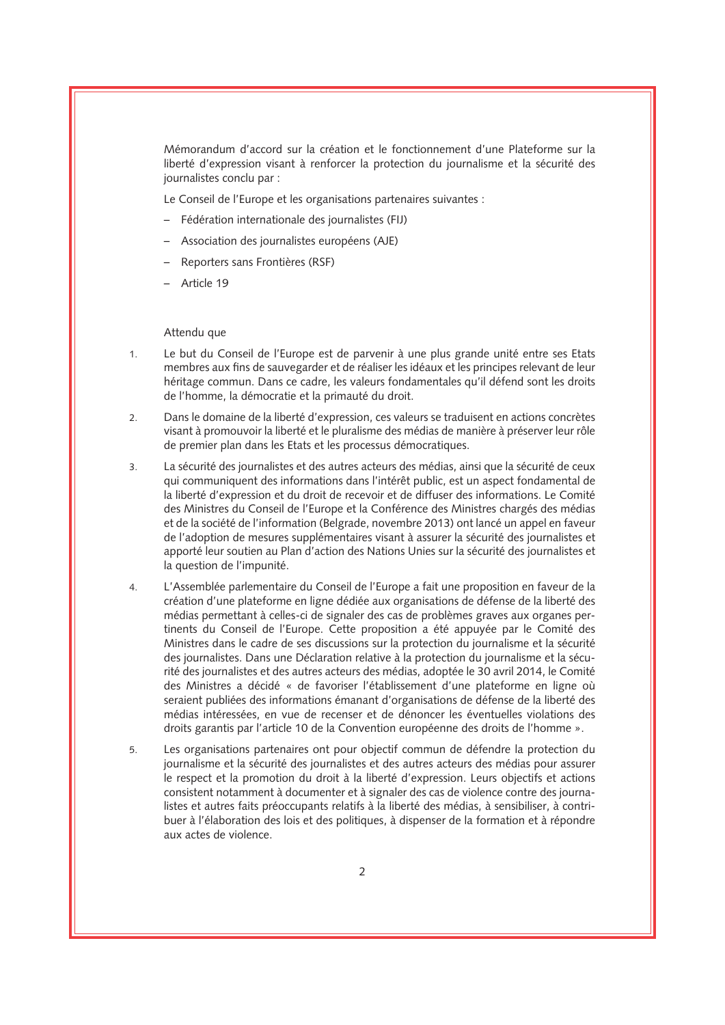Mémorandum d'accord sur la création et le fonctionnement d'une Plateforme sur la liberté d'expression visant à renforcer la protection du journalisme et la sécurité des journalistes conclu par :

Le Conseil de l'Europe et les organisations partenaires suivantes :

- Fédération internationale des journalistes (FIJ)
- Association des journalistes européens (AJE)
- Reporters sans Frontières (RSF)
- Article 19

### Attendu que

- 1. Le but du Conseil de l'Europe est de parvenir à une plus grande unité entre ses Etats membres aux fins de sauvegarder et de réaliser les idéaux et les principes relevant de leur héritage commun. Dans ce cadre, les valeurs fondamentales qu'il défend sont les droits de l'homme, la démocratie et la primauté du droit.
- 2. Dans le domaine de la liberté d'expression, ces valeurs se traduisent en actions concrètes visant à promouvoir la liberté et le pluralisme des médias de manière à préserver leur rôle de premier plan dans les Etats et les processus démocratiques.
- 3. La sécurité des journalistes et des autres acteurs des médias, ainsi que la sécurité de ceux qui communiquent des informations dans l'intérêt public, est un aspect fondamental de la liberté d'expression et du droit de recevoir et de diffuser des informations. Le Comité des Ministres du Conseil de l'Europe et la Conférence des Ministres chargés des médias et de la société de l'information (Belgrade, novembre 2013) ont lancé un appel en faveur de l'adoption de mesures supplémentaires visant à assurer la sécurité des journalistes et apporté leur soutien au Plan d'action des Nations Unies sur la sécurité des journalistes et la question de l'impunité.
- 4. L'Assemblée parlementaire du Conseil de l'Europe a fait une proposition en faveur de la création d'une plateforme en ligne dédiée aux organisations de défense de la liberté des médias permettant à celles-ci de signaler des cas de problèmes graves aux organes pertinents du Conseil de l'Europe. Cette proposition a été appuyée par le Comité des Ministres dans le cadre de ses discussions sur la protection du journalisme et la sécurité des journalistes. Dans une Déclaration relative à la protection du journalisme et la sécurité des journalistes et des autres acteurs des médias, adoptée le 30 avril 2014, le Comité des Ministres a décidé « de favoriser l'établissement d'une plateforme en ligne où seraient publiées des informations émanant d'organisations de défense de la liberté des médias intéressées, en vue de recenser et de dénoncer les éventuelles violations des droits garantis par l'article 10 de la Convention européenne des droits de l'homme ».
- 5. Les organisations partenaires ont pour objectif commun de défendre la protection du journalisme et la sécurité des journalistes et des autres acteurs des médias pour assurer le respect et la promotion du droit à la liberté d'expression. Leurs objectifs et actions consistent notamment à documenter et à signaler des cas de violence contre des journalistes et autres faits préoccupants relatifs à la liberté des médias, à sensibiliser, à contribuer à l'élaboration des lois et des politiques, à dispenser de la formation et à répondre aux actes de violence.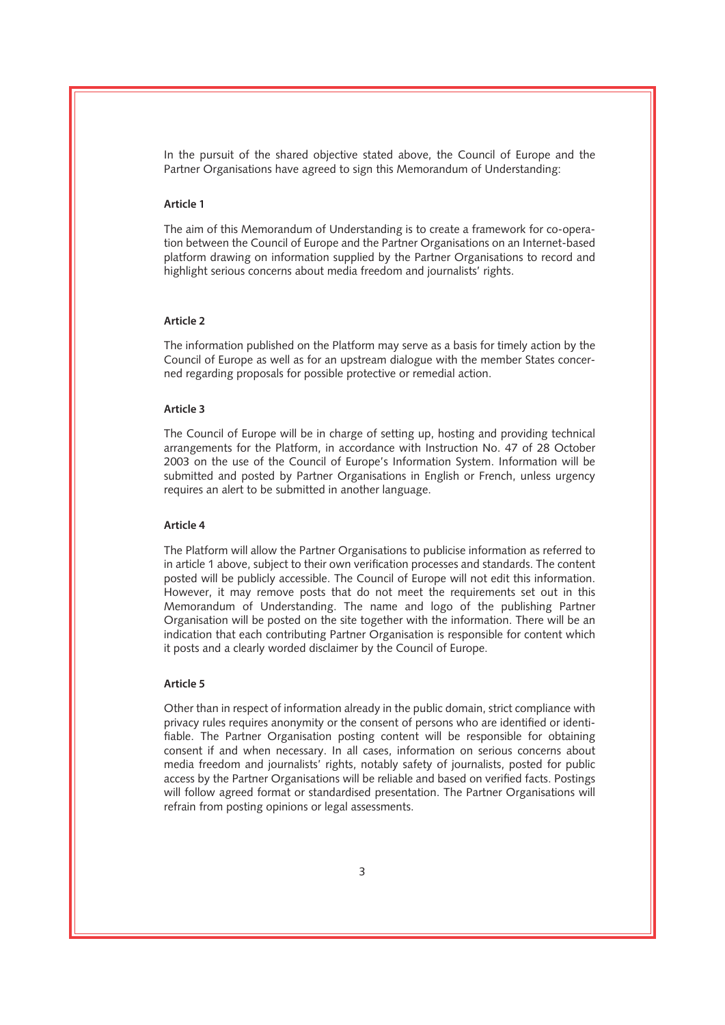In the pursuit of the shared objective stated above, the Council of Europe and the Partner Organisations have agreed to sign this Memorandum of Understanding:

## **Article 1**

The aim of this Memorandum of Understanding is to create a framework for co-operation between the Council of Europe and the Partner Organisations on an Internet-based platform drawing on information supplied by the Partner Organisations to record and highlight serious concerns about media freedom and journalists' rights.

### **Article 2**

The information published on the Platform may serve as a basis for timely action by the Council of Europe as well as for an upstream dialogue with the member States concerned regarding proposals for possible protective or remedial action.

# **Article 3**

The Council of Europe will be in charge of setting up, hosting and providing technical arrangements for the Platform, in accordance with Instruction No. 47 of 28 October 2003 on the use of the Council of Europe's Information System. Information will be submitted and posted by Partner Organisations in English or French, unless urgency requires an alert to be submitted in another language.

# **Article 4**

The Platform will allow the Partner Organisations to publicise information as referred to in article 1 above, subject to their own verification processes and standards. The content posted will be publicly accessible. The Council of Europe will not edit this information. However, it may remove posts that do not meet the requirements set out in this Memorandum of Understanding. The name and logo of the publishing Partner Organisation will be posted on the site together with the information. There will be an indication that each contributing Partner Organisation is responsible for content which it posts and a clearly worded disclaimer by the Council of Europe.

#### **Article 5**

Other than in respect of information already in the public domain, strict compliance with privacy rules requires anonymity or the consent of persons who are identified or identifiable. The Partner Organisation posting content will be responsible for obtaining consent if and when necessary. In all cases, information on serious concerns about media freedom and journalists' rights, notably safety of journalists, posted for public access by the Partner Organisations will be reliable and based on verified facts. Postings will follow agreed format or standardised presentation. The Partner Organisations will refrain from posting opinions or legal assessments.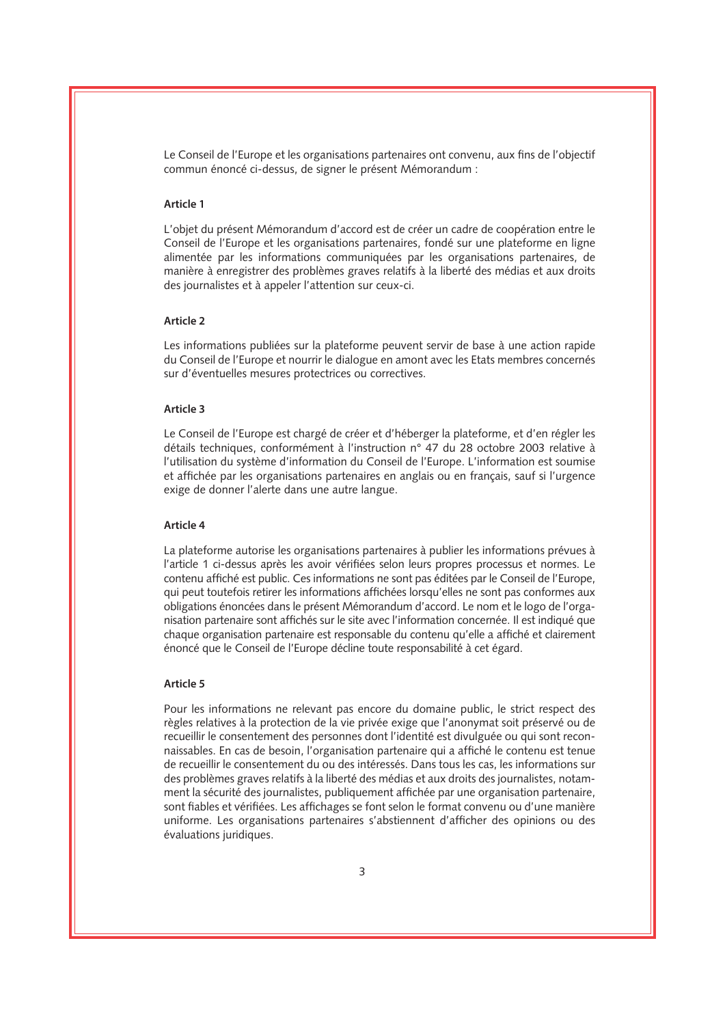Le Conseil de l'Europe et les organisations partenaires ont convenu, aux fins de l'objectif commun énoncé ci-dessus, de signer le présent Mémorandum :

# **Article 1**

L'objet du présent Mémorandum d'accord est de créer un cadre de coopération entre le Conseil de l'Europe et les organisations partenaires, fondé sur une plateforme en ligne alimentée par les informations communiquées par les organisations partenaires, de manière à enregistrer des problèmes graves relatifs à la liberté des médias et aux droits des journalistes et à appeler l'attention sur ceux-ci.

### **Article 2**

Les informations publiées sur la plateforme peuvent servir de base à une action rapide du Conseil de l'Europe et nourrir le dialogue en amont avec les Etats membres concernés sur d'éventuelles mesures protectrices ou correctives.

### **Article 3**

Le Conseil de l'Europe est chargé de créer et d'héberger la plateforme, et d'en régler les détails techniques, conformément à l'instruction n° 47 du 28 octobre 2003 relative à l'utilisation du système d'information du Conseil de l'Europe. L'information est soumise et affichée par les organisations partenaires en anglais ou en français, sauf si l'urgence exige de donner l'alerte dans une autre langue.

# **Article 4**

La plateforme autorise les organisations partenaires à publier les informations prévues à l'article 1 ci-dessus après les avoir vérifiées selon leurs propres processus et normes. Le contenu affiché est public. Ces informations ne sont pas éditées par le Conseil de l'Europe, qui peut toutefois retirer les informations affichées lorsqu'elles ne sont pas conformes aux obligations énoncées dans le présent Mémorandum d'accord. Le nom et le logo de l'organisation partenaire sont affichés sur le site avec l'information concernée. Il est indiqué que chaque organisation partenaire est responsable du contenu qu'elle a affiché et clairement énoncé que le Conseil de l'Europe décline toute responsabilité à cet égard.

#### **Article 5**

Pour les informations ne relevant pas encore du domaine public, le strict respect des règles relatives à la protection de la vie privée exige que l'anonymat soit préservé ou de recueillir le consentement des personnes dont l'identité est divulguée ou qui sont reconnaissables. En cas de besoin, l'organisation partenaire qui a affiché le contenu est tenue de recueillir le consentement du ou des intéressés. Dans tous les cas, les informations sur des problèmes graves relatifs à la liberté des médias et aux droits des journalistes, notamment la sécurité des journalistes, publiquement affichée par une organisation partenaire, sont fiables et vérifiées. Les affichages se font selon le format convenu ou d'une manière uniforme. Les organisations partenaires s'abstiennent d'afficher des opinions ou des évaluations juridiques.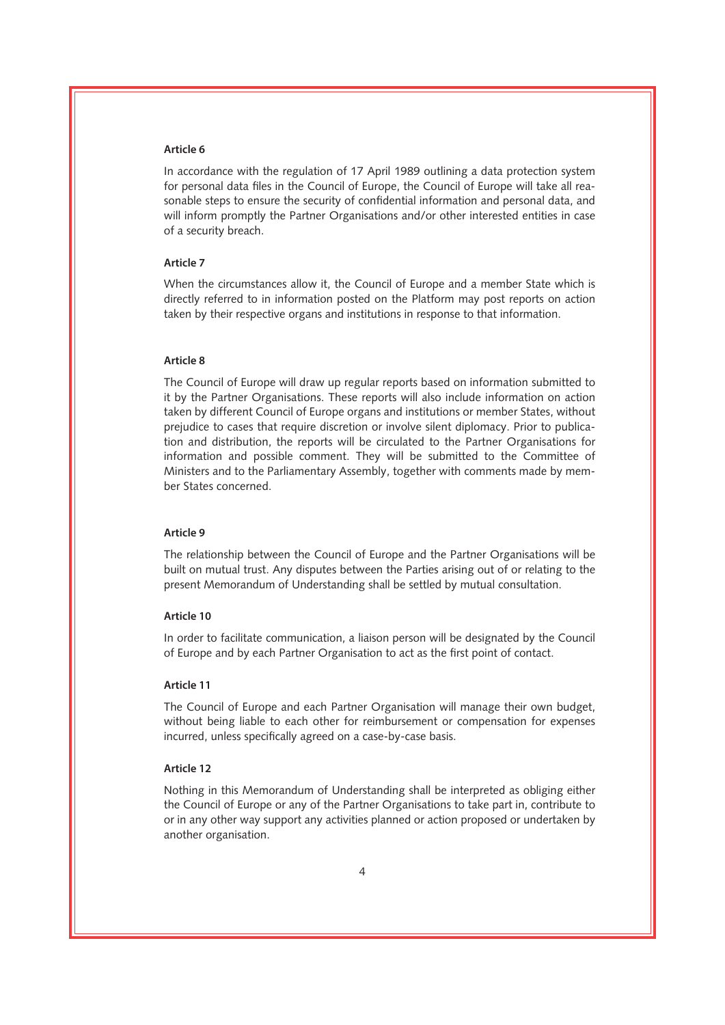In accordance with the regulation of 17 April 1989 outlining a data protection system for personal data files in the Council of Europe, the Council of Europe will take all reasonable steps to ensure the security of confidential information and personal data, and will inform promptly the Partner Organisations and/or other interested entities in case of a security breach.

# **Article 7**

When the circumstances allow it, the Council of Europe and a member State which is directly referred to in information posted on the Platform may post reports on action taken by their respective organs and institutions in response to that information.

### **Article 8**

The Council of Europe will draw up regular reports based on information submitted to it by the Partner Organisations. These reports will also include information on action taken by different Council of Europe organs and institutions or member States, without prejudice to cases that require discretion or involve silent diplomacy. Prior to publication and distribution, the reports will be circulated to the Partner Organisations for information and possible comment. They will be submitted to the Committee of Ministers and to the Parliamentary Assembly, together with comments made by member States concerned.

### **Article 9**

The relationship between the Council of Europe and the Partner Organisations will be built on mutual trust. Any disputes between the Parties arising out of or relating to the present Memorandum of Understanding shall be settled by mutual consultation.

# **Article 10**

In order to facilitate communication, a liaison person will be designated by the Council of Europe and by each Partner Organisation to act as the first point of contact.

## **Article 11**

The Council of Europe and each Partner Organisation will manage their own budget, without being liable to each other for reimbursement or compensation for expenses incurred, unless specifically agreed on a case-by-case basis.

# **Article 12**

Nothing in this Memorandum of Understanding shall be interpreted as obliging either the Council of Europe or any of the Partner Organisations to take part in, contribute to or in any other way support any activities planned or action proposed or undertaken by another organisation.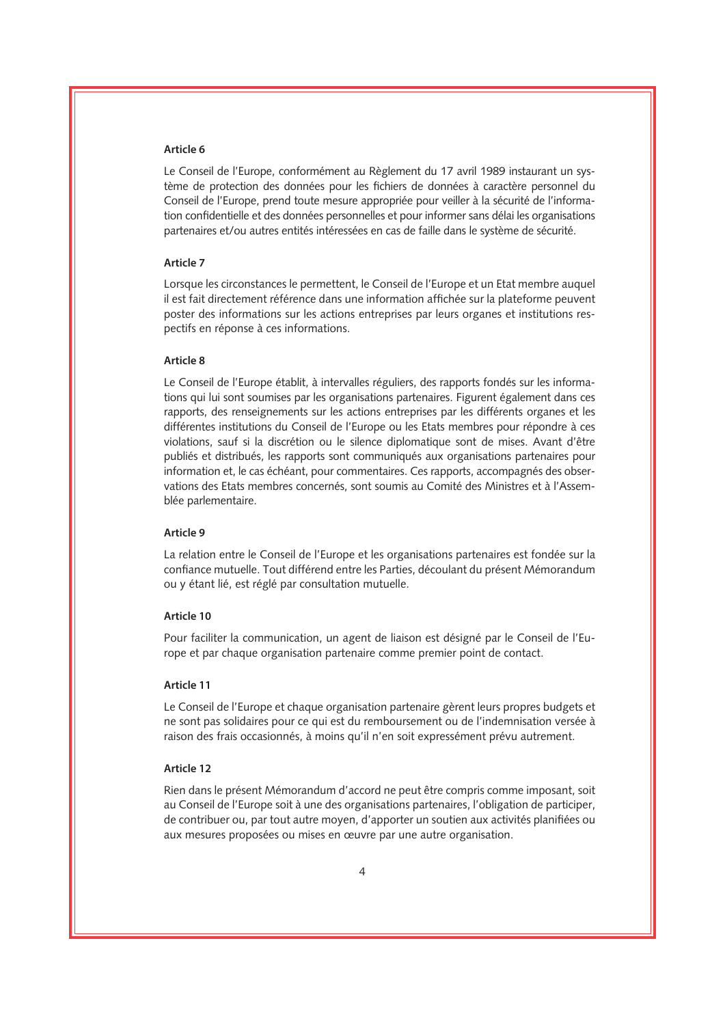Le Conseil de l'Europe, conformément au Règlement du 17 avril 1989 instaurant un système de protection des données pour les fichiers de données à caractère personnel du Conseil de l'Europe, prend toute mesure appropriée pour veiller à la sécurité de l'information confidentielle et des données personnelles et pour informer sans délai les organisations partenaires et/ou autres entités intéressées en cas de faille dans le système de sécurité.

### **Article 7**

Lorsque les circonstances le permettent, le Conseil de l'Europe et un Etat membre auquel il est fait directement référence dans une information affichée sur la plateforme peuvent poster des informations sur les actions entreprises par leurs organes et institutions respectifs en réponse à ces informations.

#### **Article 8**

Le Conseil de l'Europe établit, à intervalles réguliers, des rapports fondés sur les informations qui lui sont soumises par les organisations partenaires. Figurent également dans ces rapports, des renseignements sur les actions entreprises par les différents organes et les différentes institutions du Conseil de l'Europe ou les Etats membres pour répondre à ces violations, sauf si la discrétion ou le silence diplomatique sont de mises. Avant d'être publiés et distribués, les rapports sont communiqués aux organisations partenaires pour information et, le cas échéant, pour commentaires. Ces rapports, accompagnés des observations des Etats membres concernés, sont soumis au Comité des Ministres et à l'Assemblée parlementaire.

#### **Article 9**

La relation entre le Conseil de l'Europe et les organisations partenaires est fondée sur la confiance mutuelle. Tout différend entre les Parties, découlant du présent Mémorandum ou y étant lié, est réglé par consultation mutuelle.

# **Article 10**

Pour faciliter la communication, un agent de liaison est désigné par le Conseil de l'Europe et par chaque organisation partenaire comme premier point de contact.

#### **Article 11**

Le Conseil de l'Europe et chaque organisation partenaire gèrent leurs propres budgets et ne sont pas solidaires pour ce qui est du remboursement ou de l'indemnisation versée à raison des frais occasionnés, à moins qu'il n'en soit expressément prévu autrement.

# **Article 12**

Rien dans le présent Mémorandum d'accord ne peut être compris comme imposant, soit au Conseil de l'Europe soit à une des organisations partenaires, l'obligation de participer, de contribuer ou, par tout autre moyen, d'apporter un soutien aux activités planifiées ou aux mesures proposées ou mises en œuvre par une autre organisation.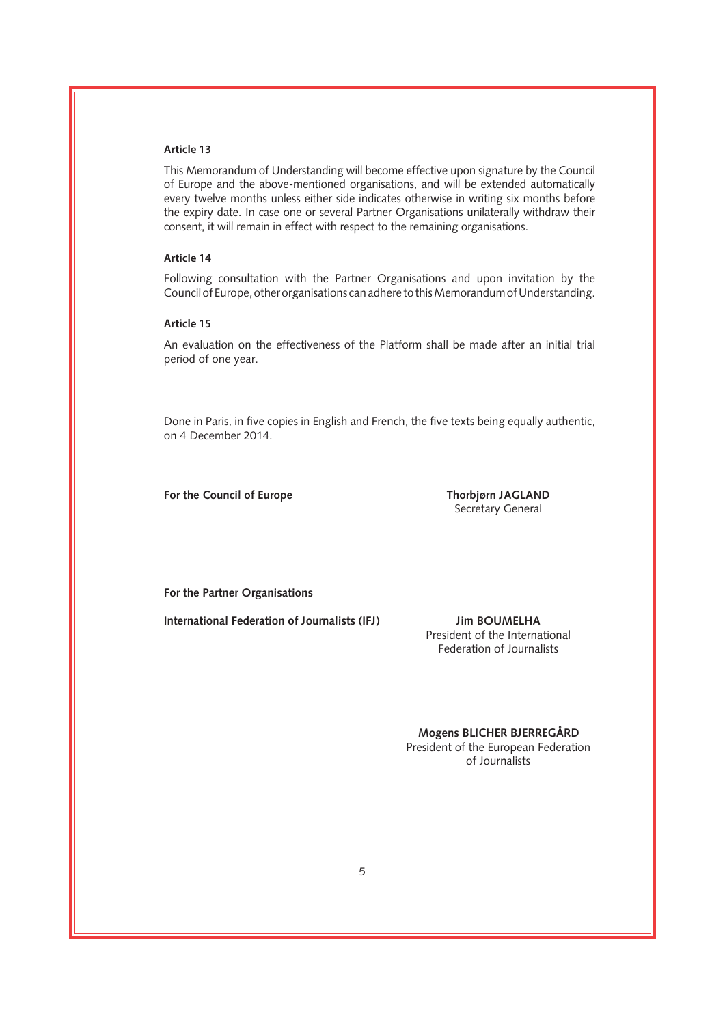This Memorandum of Understanding will become effective upon signature by the Council of Europe and the above-mentioned organisations, and will be extended automatically every twelve months unless either side indicates otherwise in writing six months before the expiry date. In case one or several Partner Organisations unilaterally withdraw their consent, it will remain in effect with respect to the remaining organisations.

# **Article 14**

Following consultation with the Partner Organisations and upon invitation by the Council of Europe, other organisations can adhere to this Memorandum of Understanding.

### **Article 15**

An evaluation on the effectiveness of the Platform shall be made after an initial trial period of one year.

Done in Paris, in five copies in English and French, the five texts being equally authentic, on 4 December 2014.

**For the Council of Europe Thorbjørn JAGLAND**

Secretary General

**For the Partner Organisations**

**International Federation of Journalists (IFJ) Jim BOUMELHA**

President of the International Federation of Journalists

**Mogens BLICHER BJERREGÅRD**

President of the European Federation of Journalists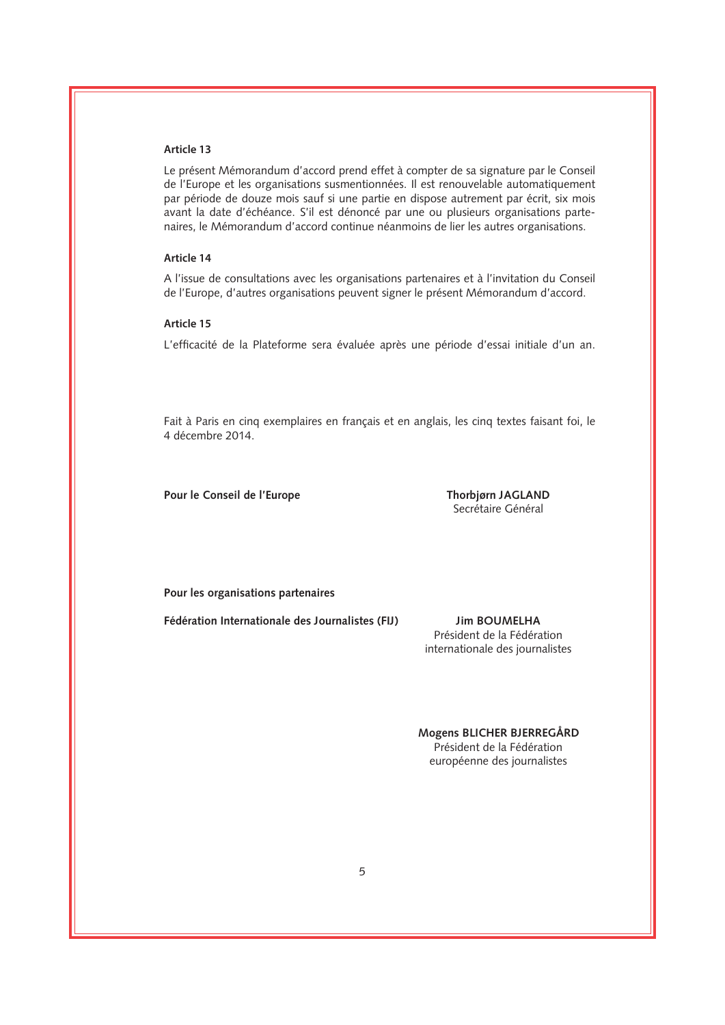Le présent Mémorandum d'accord prend effet à compter de sa signature par le Conseil de l'Europe et les organisations susmentionnées. Il est renouvelable automatiquement par période de douze mois sauf si une partie en dispose autrement par écrit, six mois avant la date d'échéance. S'il est dénoncé par une ou plusieurs organisations partenaires, le Mémorandum d'accord continue néanmoins de lier les autres organisations.

# **Article 14**

A l'issue de consultations avec les organisations partenaires et à l'invitation du Conseil de l'Europe, d'autres organisations peuvent signer le présent Mémorandum d'accord.

### **Article 15**

L'efficacité de la Plateforme sera évaluée après une période d'essai initiale d'un an.

Fait à Paris en cinq exemplaires en français et en anglais, les cinq textes faisant foi, le 4 décembre 2014.

Pour le Conseil de l'Europe **Thorbjørn JAGLAND** 

Secrétaire Général

**Pour les organisations partenaires** 

**Fédération Internationale des Journalistes (FIJ) Jim BOUMELHA**

Président de la Fédération internationale des journalistes

**Mogens BLICHER BJERREGÅRD**

Président de la Fédération européenne des journalistes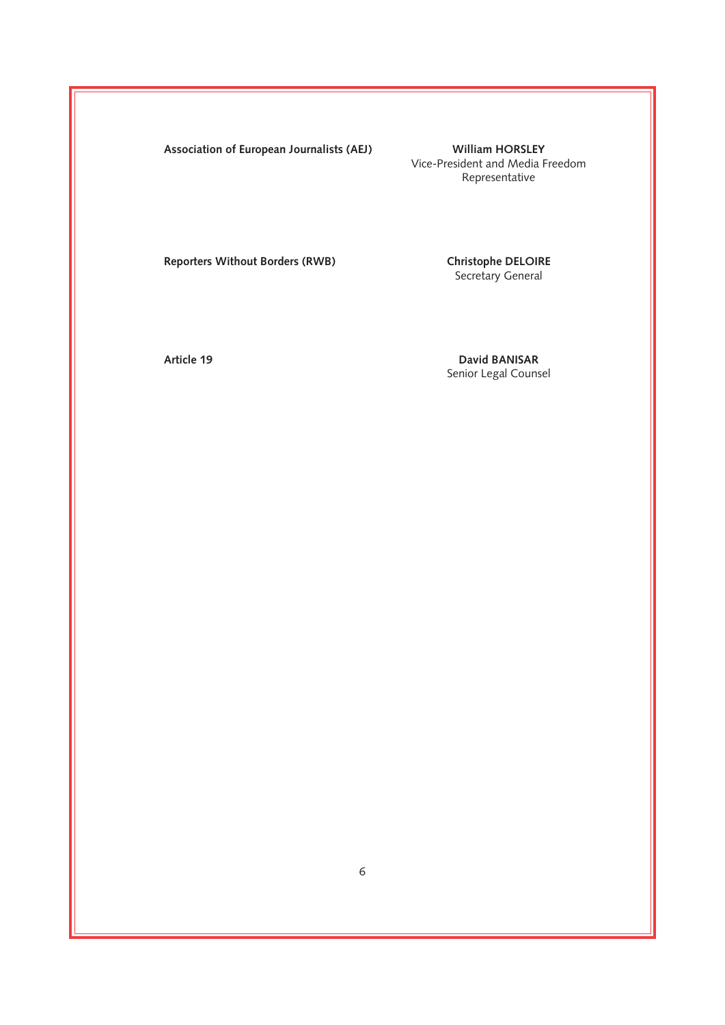**Association of European Journalists (AEJ) William HORSLEY**

Vice-President and Media Freedom Representative

**Reporters Without Borders (RWB)** 

Christophe DELOIRE<br>Secretary General

**Article 19 David BANISAR** Senior Legal Counsel